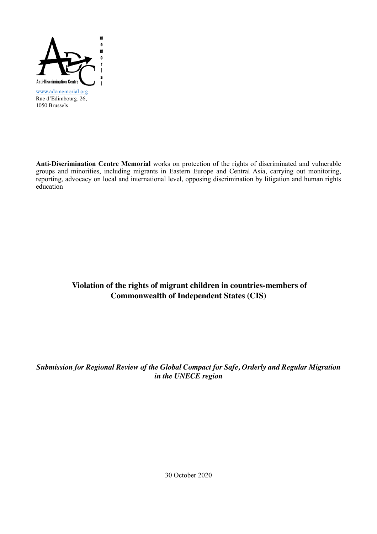

1050 Brussels

**Anti-Discrimination Centre Memorial** works on protection of the rights of discriminated and vulnerable groups and minorities, including migrants in Eastern Europe and Central Asia, carrying out monitoring, reporting, advocacy on local and international level, opposing discrimination by litigation and human rights education

## **Violation of the rights of migrant children in countries-members of Commonwealth of Independent States (CIS)**

*Submission for Regional Review of the Global Compact for Safe, Orderly and Regular Migration in the UNECE region*

30 October 2020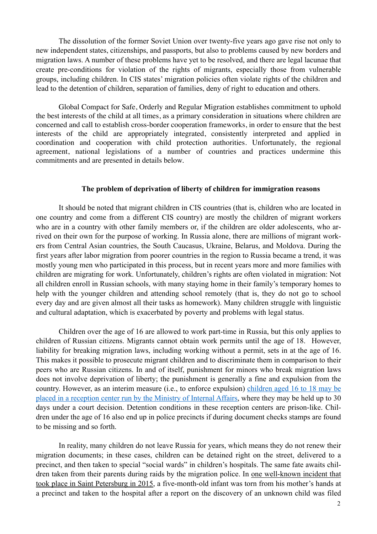The dissolution of the former Soviet Union over twenty-five years ago gave rise not only to new independent states, citizenships, and passports, but also to problems caused by new borders and migration laws. A number of these problems have yet to be resolved, and there are legal lacunae that create pre-conditions for violation of the rights of migrants, especially those from vulnerable groups, including children. In CIS states' migration policies often violate rights of the children and lead to the detention of children, separation of families, deny of right to education and others.

Global Compact for Safe, Orderly and Regular Migration establishes commitment to uphold the best interests of the child at all times, as a primary consideration in situations where children are concerned and call to establish cross-border cooperation frameworks, in order to ensure that the best interests of the child are appropriately integrated, consistently interpreted and applied in coordination and cooperation with child protection authorities. Unfortunately, the regional agreement, national legislations of a number of countries and practices undermine this commitments and are presented in details below.

## **The problem of deprivation of liberty of children for immigration reasons**

It should be noted that migrant children in CIS countries (that is, children who are located in one country and come from a different CIS country) are mostly the children of migrant workers who are in a country with other family members or, if the children are older adolescents, who arrived on their own for the purpose of working. In Russia alone, there are millions of migrant workers from Central Asian countries, the South Caucasus, Ukraine, Belarus, and Moldova. During the first years after labor migration from poorer countries in the region to Russia became a trend, it was mostly young men who participated in this process, but in recent years more and more families with children are migrating for work. Unfortunately, children's rights are often violated in migration: Not all children enroll in Russian schools, with many staying home in their family's temporary homes to help with the younger children and attending school remotely (that is, they do not go to school every day and are given almost all their tasks as homework). Many children struggle with linguistic and cultural adaptation, which is exacerbated by poverty and problems with legal status.

Children over the age of 16 are allowed to work part-time in Russia, but this only applies to children of Russian citizens. Migrants cannot obtain work permits until the age of 18. However, liability for breaking migration laws, including working without a permit, sets in at the age of 16. This makes it possible to prosecute migrant children and to discriminate them in comparison to their peers who are Russian citizens. In and of itself, punishment for minors who break migration laws does not involve deprivation of liberty; the punishment is generally a fine and expulsion from the country. However, as an interim measure (i.e., to enforce expulsion) [children aged 16 to 18 may be](https://adcmemorial.org/en/crossborderchildhood/older-adolescents/) [placed in a reception center run by the Ministry of Internal Affairs,](https://adcmemorial.org/en/crossborderchildhood/older-adolescents/) where they may be held up to 30 days under a court decision. Detention conditions in these reception centers are prison-like. Children under the age of 16 also end up in police precincts if during document checks stamps are found to be missing and so forth.

In reality, many children do not leave Russia for years, which means they do not renew their migration documents; in these cases, children can be detained right on the street, delivered to a precinct, and then taken to special "social wards" in children's hospitals. The same fate awaits children taken from their parents during raids by the migration police. In [one well-known incident that](https://adcmemorial.org/strategy_cases/delo-umarali/) [took place in Saint Petersburg in 2015,](https://adcmemorial.org/strategy_cases/delo-umarali/) a five-month-old infant was torn from his mother's hands at a precinct and taken to the hospital after a report on the discovery of an unknown child was filed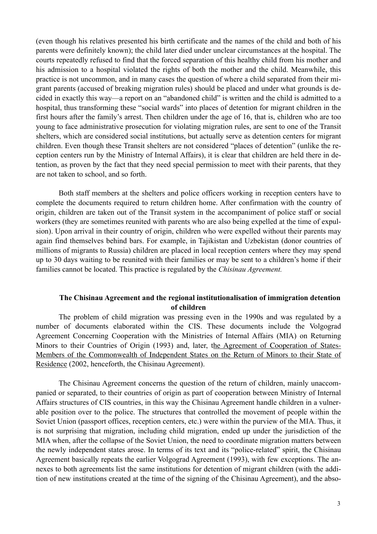(even though his relatives presented his birth certificate and the names of the child and both of his parents were definitely known); the child later died under unclear circumstances at the hospital. The courts repeatedly refused to find that the forced separation of this healthy child from his mother and his admission to a hospital violated the rights of both the mother and the child. Meanwhile, this practice is not uncommon, and in many cases the question of where a child separated from their migrant parents (accused of breaking migration rules) should be placed and under what grounds is decided in exactly this way—a report on an "abandoned child" is written and the child is admitted to a hospital, thus transforming these "social wards" into places of detention for migrant children in the first hours after the family's arrest. Then children under the age of 16, that is, children who are too young to face administrative prosecution for violating migration rules, are sent to one of the Transit shelters, which are considered social institutions, but actually serve as detention centers for migrant children. Even though these Transit shelters are not considered "places of detention" (unlike the reception centers run by the Ministry of Internal Affairs), it is clear that children are held there in detention, as proven by the fact that they need special permission to meet with their parents, that they are not taken to school, and so forth.

Both staff members at the shelters and police officers working in reception centers have to complete the documents required to return children home. After confirmation with the country of origin, children are taken out of the Transit system in the accompaniment of police staff or social workers (they are sometimes reunited with parents who are also being expelled at the time of expulsion). Upon arrival in their country of origin, children who were expelled without their parents may again find themselves behind bars. For example, in Tajikistan and Uzbekistan (donor countries of millions of migrants to Russia) children are placed in local reception centers where they may spend up to 30 days waiting to be reunited with their families or may be sent to a children's home if their families cannot be located. This practice is regulated by the *Chisinau Agreement.* 

## **The Chisinau Agreement and the regional institutionalisation of immigration detention of children**

The problem of child migration was pressing even in the 1990s and was regulated by a number of documents elaborated within the CIS. These documents include the Volgograd Agreement Concerning Cooperation with the Ministries of Internal Affairs (MIA) on Returning Minors to their Countries of Origin (1993) and, later, t[he Agreement of Cooperation of States-](http://cis.minsk.by/page/1462)[Members of the Commonwealth of Independent States on the Return of Minors to their State of](http://cis.minsk.by/page/1462) [Residence](http://cis.minsk.by/page/1462) (2002, henceforth, the Chisinau Agreement).

The Chisinau Agreement concerns the question of the return of children, mainly unaccompanied or separated, to their countries of origin as part of cooperation between Ministry of Internal Affairs structures of CIS countries, in this way the Chisinau Agreement handle children in a vulnerable position over to the police. The structures that controlled the movement of people within the Soviet Union (passport offices, reception centers, etc.) were within the purview of the MIA. Thus, it is not surprising that migration, including child migration, ended up under the jurisdiction of the MIA when, after the collapse of the Soviet Union, the need to coordinate migration matters between the newly independent states arose. In terms of its text and its "police-related" spirit, the Chisinau Agreement basically repeats the earlier Volgograd Agreement (1993), with few exceptions. The annexes to both agreements list the same institutions for detention of migrant children (with the addition of new institutions created at the time of the signing of the Chisinau Agreement), and the abso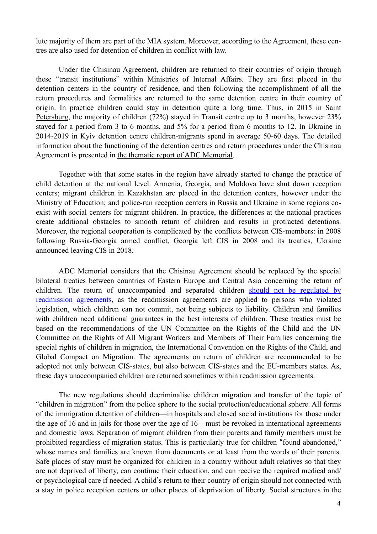lute majority of them are part of the MIA system. Moreover, according to the Agreement, these centres are also used for detention of children in conflict with law.

 Under the Chisinau Agreement, children are returned to their countries of origin through these "transit institutions" within Ministries of Internal Affairs. They are first placed in the detention centers in the country of residence, and then following the accomplishment of all the return procedures and formalities are returned to the same detention centre in their country of origin. In practice children could stay in detention quite a long time. Thus, [in 2015 in Saint](https://adcmemorial.org/en/publications/migrant-children-in-cis-countries-lack-of-adequate-legal-norms-regulating-cooperation-between-the-countries-involved/) [Petersburg,](https://adcmemorial.org/en/publications/migrant-children-in-cis-countries-lack-of-adequate-legal-norms-regulating-cooperation-between-the-countries-involved/) the majority of children (72%) stayed in Transit centre up to 3 months, however 23% stayed for a period from 3 to 6 months, and 5% for a period from 6 months to 12. In Ukraine in 2014-2019 in Kyiv detention centre children-migrants spend in average 50-60 days. The detailed information about the functioning of the detention centres and return procedures under the Chisinau Agreement is presented in [the thematic report of ADC Memorial.](https://adcmemorial.org/en/publications/migrant-children-in-cis-countries-lack-of-adequate-legal-norms-regulating-cooperation-between-the-countries-involved/)

 Together with that some states in the region have already started to change the practice of child detention at the national level. Armenia, Georgia, and Moldova have shut down reception centers; migrant children in Kazakhstan are placed in the detention centers, however under the Ministry of Education; and police-run reception centers in Russia and Ukraine in some regions coexist with social centers for migrant children. In practice, the differences at the national practices create additional obstacles to smooth return of children and results in protracted detentions. Moreover, the regional cooperation is complicated by the conflicts between CIS-members: in 2008 following Russia-Georgia armed conflict, Georgia left CIS in 2008 and its treaties, Ukraine announced leaving CIS in 2018.

 ADC Memorial considers that the Chisinau Agreement should be replaced by the special bilateral treaties between countries of Eastern Europe and Central Asia concerning the return of children. The return of unaccompanied and separated children [should not be regulated by](https://adcmemorial.org/en/news/human-rights-should-be-respected-while-implementing-the-agreement-between-the-european-union-and-belarus-on-readmission/) [readmission agreements](https://adcmemorial.org/en/news/human-rights-should-be-respected-while-implementing-the-agreement-between-the-european-union-and-belarus-on-readmission/), as the readmission agreements are applied to persons who violated legislation, which children can not commit, not being subjects to liability. Children and families with children need additional guarantees in the best interests of children. These treaties must be based on the recommendations of the UN Committee on the Rights of the Child and the UN Committee on the Rights of All Migrant Workers and Members of Their Families concerning the special rights of children in migration, the International Convention on the Rights of the Child, and Global Compact on Migration. The agreements on return of children are recommended to be adopted not only between CIS-states, but also between CIS-states and the EU-members states. As, these days unaccompanied children are returned sometimes within readmission agreements.

 The new regulations should decriminalise children migration and transfer of the topic of "children in migration" from the police sphere to the social protection/educational sphere. All forms of the immigration detention of children—in hospitals and closed social institutions for those under the age of 16 and in jails for those over the age of 16—must be revoked in international agreements and domestic laws. Separation of migrant children from their parents and family members must be prohibited regardless of migration status. This is particularly true for children "found abandoned," whose names and families are known from documents or at least from the words of their parents. Safe places of stay must be organized for children in a country without adult relatives so that they are not deprived of liberty, can continue their education, and can receive the required medical and/ or psychological care if needed. A child's return to their country of origin should not connected with a stay in police reception centers or other places of deprivation of liberty. Social structures in the